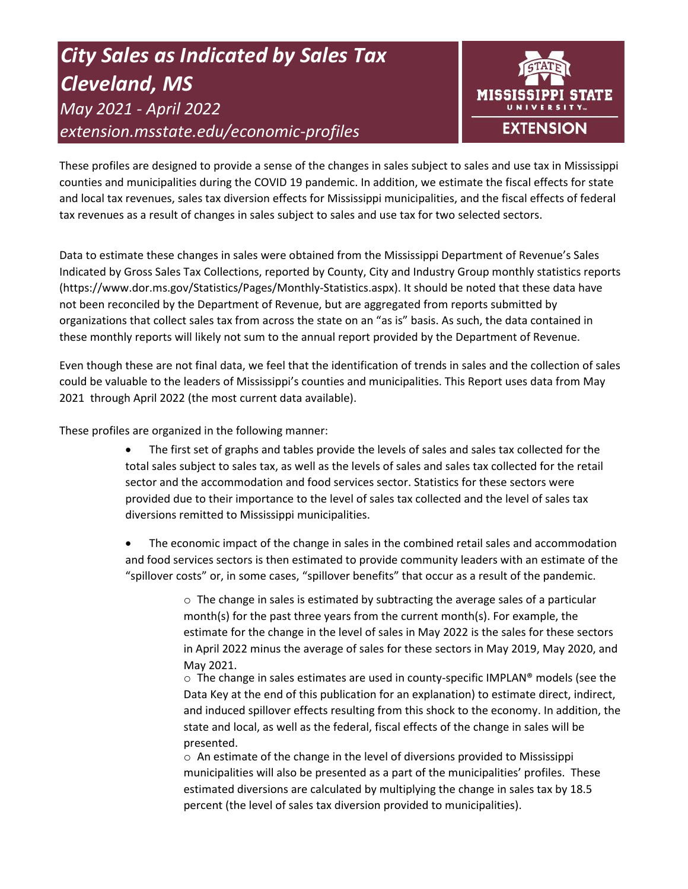# *City Sales as Indicated by Sales Tax Cleveland, MS May 2021 - April 2022 extension.msstate.edu/economic-profiles*



These profiles are designed to provide a sense of the changes in sales subject to sales and use tax in Mississippi counties and municipalities during the COVID 19 pandemic. In addition, we estimate the fiscal effects for state and local tax revenues, sales tax diversion effects for Mississippi municipalities, and the fiscal effects of federal tax revenues as a result of changes in sales subject to sales and use tax for two selected sectors.

Data to estimate these changes in sales were obtained from the Mississippi Department of Revenue's Sales Indicated by Gross Sales Tax Collections, reported by County, City and Industry Group monthly statistics reports (https://www.dor.ms.gov/Statistics/Pages/Monthly-Statistics.aspx). It should be noted that these data have not been reconciled by the Department of Revenue, but are aggregated from reports submitted by organizations that collect sales tax from across the state on an "as is" basis. As such, the data contained in these monthly reports will likely not sum to the annual report provided by the Department of Revenue.

Even though these are not final data, we feel that the identification of trends in sales and the collection of sales could be valuable to the leaders of Mississippi's counties and municipalities. This Report uses data from May 2021 through April 2022 (the most current data available).

These profiles are organized in the following manner:

- The first set of graphs and tables provide the levels of sales and sales tax collected for the total sales subject to sales tax, as well as the levels of sales and sales tax collected for the retail sector and the accommodation and food services sector. Statistics for these sectors were provided due to their importance to the level of sales tax collected and the level of sales tax diversions remitted to Mississippi municipalities.
- The economic impact of the change in sales in the combined retail sales and accommodation and food services sectors is then estimated to provide community leaders with an estimate of the "spillover costs" or, in some cases, "spillover benefits" that occur as a result of the pandemic.

 $\circ$  The change in sales is estimated by subtracting the average sales of a particular month(s) for the past three years from the current month(s). For example, the estimate for the change in the level of sales in May 2022 is the sales for these sectors in April 2022 minus the average of sales for these sectors in May 2019, May 2020, and May 2021.

 $\circ$  The change in sales estimates are used in county-specific IMPLAN® models (see the Data Key at the end of this publication for an explanation) to estimate direct, indirect, and induced spillover effects resulting from this shock to the economy. In addition, the state and local, as well as the federal, fiscal effects of the change in sales will be presented.

 $\circ$  An estimate of the change in the level of diversions provided to Mississippi municipalities will also be presented as a part of the municipalities' profiles. These estimated diversions are calculated by multiplying the change in sales tax by 18.5 percent (the level of sales tax diversion provided to municipalities).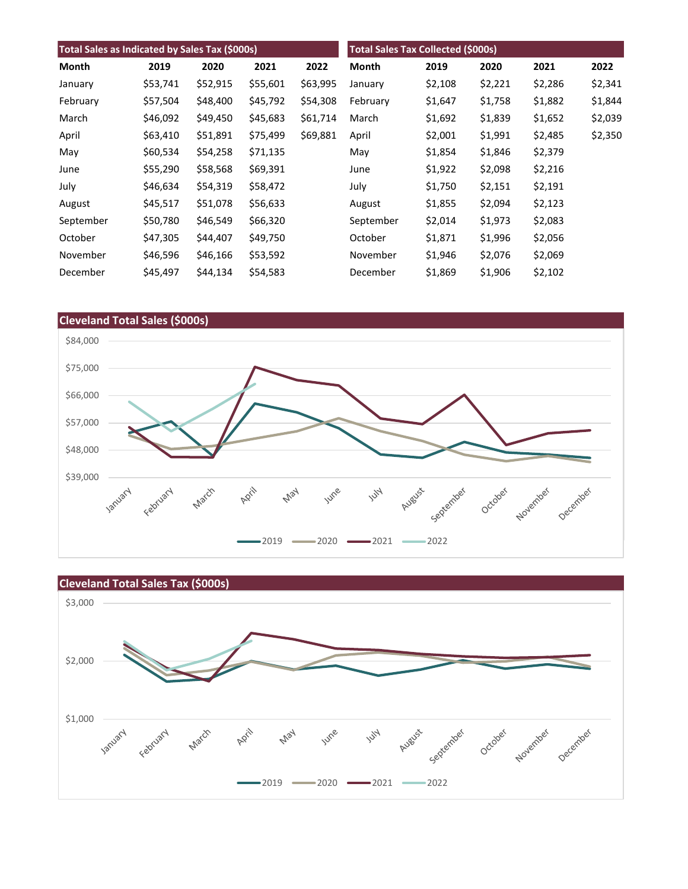| Total Sales as Indicated by Sales Tax (\$000s) |          |          |          | <b>Total Sales Tax Collected (\$000s)</b> |           |         |         |         |         |
|------------------------------------------------|----------|----------|----------|-------------------------------------------|-----------|---------|---------|---------|---------|
| Month                                          | 2019     | 2020     | 2021     | 2022                                      | Month     | 2019    | 2020    | 2021    | 2022    |
| January                                        | \$53,741 | \$52,915 | \$55,601 | \$63,995                                  | January   | \$2,108 | \$2,221 | \$2,286 | \$2,341 |
| February                                       | \$57,504 | \$48,400 | \$45,792 | \$54,308                                  | February  | \$1,647 | \$1,758 | \$1,882 | \$1,844 |
| March                                          | \$46,092 | \$49,450 | \$45,683 | \$61,714                                  | March     | \$1,692 | \$1,839 | \$1,652 | \$2,039 |
| April                                          | \$63,410 | \$51,891 | \$75,499 | \$69,881                                  | April     | \$2,001 | \$1,991 | \$2,485 | \$2,350 |
| May                                            | \$60,534 | \$54,258 | \$71,135 |                                           | May       | \$1,854 | \$1,846 | \$2,379 |         |
| June                                           | \$55,290 | \$58,568 | \$69,391 |                                           | June      | \$1,922 | \$2,098 | \$2,216 |         |
| July                                           | \$46,634 | \$54,319 | \$58,472 |                                           | July      | \$1,750 | \$2,151 | \$2,191 |         |
| August                                         | \$45,517 | \$51,078 | \$56,633 |                                           | August    | \$1,855 | \$2,094 | \$2,123 |         |
| September                                      | \$50,780 | \$46,549 | \$66,320 |                                           | September | \$2,014 | \$1,973 | \$2,083 |         |
| October                                        | \$47,305 | \$44,407 | \$49,750 |                                           | October   | \$1,871 | \$1,996 | \$2,056 |         |
| November                                       | \$46,596 | \$46,166 | \$53,592 |                                           | November  | \$1,946 | \$2,076 | \$2,069 |         |
| December                                       | \$45,497 | \$44,134 | \$54,583 |                                           | December  | \$1,869 | \$1,906 | \$2,102 |         |



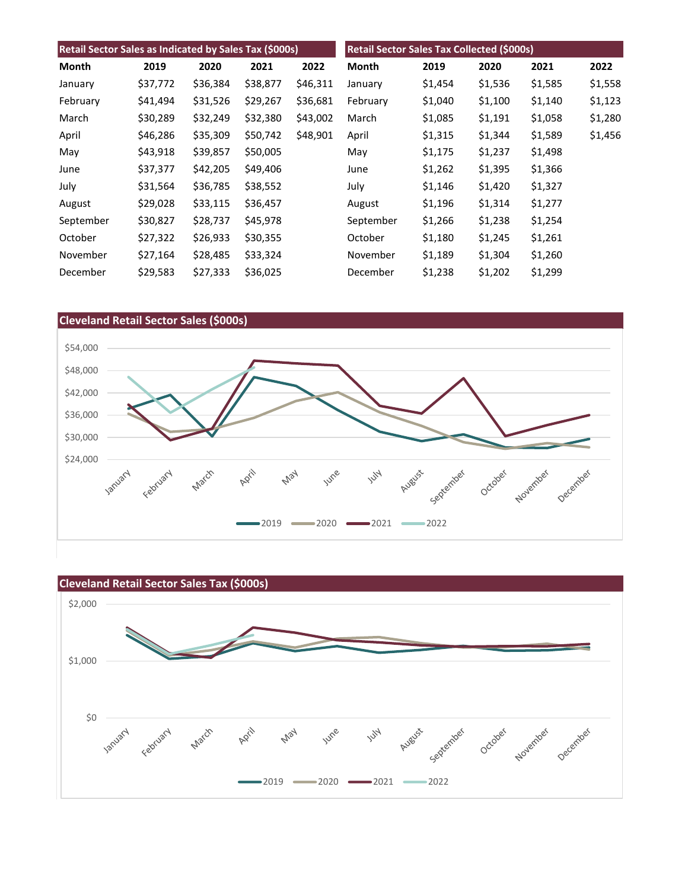| Retail Sector Sales as Indicated by Sales Tax (\$000s) |          |          |          | Retail Sector Sales Tax Collected (\$000s) |           |         |         |         |         |
|--------------------------------------------------------|----------|----------|----------|--------------------------------------------|-----------|---------|---------|---------|---------|
| Month                                                  | 2019     | 2020     | 2021     | 2022                                       | Month     | 2019    | 2020    | 2021    | 2022    |
| January                                                | \$37,772 | \$36,384 | \$38,877 | \$46,311                                   | January   | \$1,454 | \$1,536 | \$1,585 | \$1,558 |
| February                                               | \$41,494 | \$31,526 | \$29,267 | \$36,681                                   | February  | \$1,040 | \$1,100 | \$1,140 | \$1,123 |
| March                                                  | \$30,289 | \$32,249 | \$32,380 | \$43,002                                   | March     | \$1,085 | \$1,191 | \$1,058 | \$1,280 |
| April                                                  | \$46,286 | \$35,309 | \$50,742 | \$48,901                                   | April     | \$1,315 | \$1,344 | \$1,589 | \$1,456 |
| May                                                    | \$43,918 | \$39,857 | \$50,005 |                                            | May       | \$1,175 | \$1,237 | \$1,498 |         |
| June                                                   | \$37,377 | \$42,205 | \$49,406 |                                            | June      | \$1,262 | \$1,395 | \$1,366 |         |
| July                                                   | \$31,564 | \$36,785 | \$38,552 |                                            | July      | \$1,146 | \$1,420 | \$1,327 |         |
| August                                                 | \$29,028 | \$33,115 | \$36,457 |                                            | August    | \$1,196 | \$1,314 | \$1,277 |         |
| September                                              | \$30,827 | \$28,737 | \$45,978 |                                            | September | \$1,266 | \$1,238 | \$1,254 |         |
| October                                                | \$27,322 | \$26,933 | \$30,355 |                                            | October   | \$1,180 | \$1,245 | \$1,261 |         |
| November                                               | \$27,164 | \$28,485 | \$33,324 |                                            | November  | \$1,189 | \$1,304 | \$1,260 |         |
| December                                               | \$29,583 | \$27,333 | \$36,025 |                                            | December  | \$1,238 | \$1,202 | \$1,299 |         |



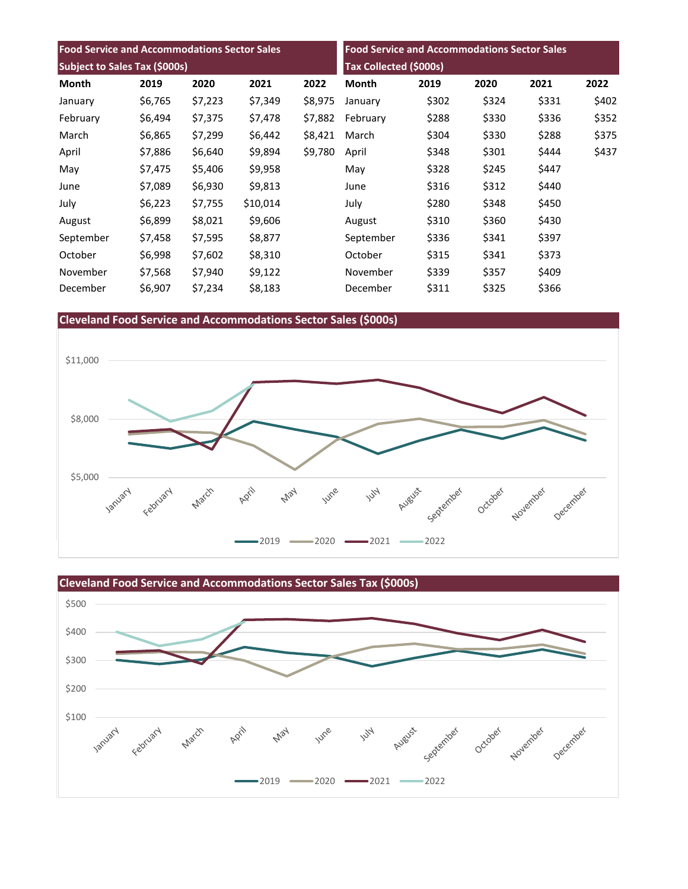| <b>Food Service and Accommodations Sector Sales</b> |         |         |          | <b>Food Service and Accommodations Sector Sales</b> |                               |       |       |       |       |
|-----------------------------------------------------|---------|---------|----------|-----------------------------------------------------|-------------------------------|-------|-------|-------|-------|
| Subject to Sales Tax (\$000s)                       |         |         |          |                                                     | <b>Tax Collected (\$000s)</b> |       |       |       |       |
| Month                                               | 2019    | 2020    | 2021     | 2022                                                | Month                         | 2019  | 2020  | 2021  | 2022  |
| January                                             | \$6,765 | \$7,223 | \$7,349  | \$8,975                                             | January                       | \$302 | \$324 | \$331 | \$402 |
| February                                            | \$6,494 | \$7,375 | \$7,478  | \$7,882                                             | February                      | \$288 | \$330 | \$336 | \$352 |
| March                                               | \$6,865 | \$7,299 | \$6,442  | \$8,421                                             | March                         | \$304 | \$330 | \$288 | \$375 |
| April                                               | \$7,886 | \$6,640 | \$9,894  | \$9,780                                             | April                         | \$348 | \$301 | \$444 | \$437 |
| May                                                 | \$7,475 | \$5,406 | \$9,958  |                                                     | May                           | \$328 | \$245 | \$447 |       |
| June                                                | \$7,089 | \$6,930 | \$9,813  |                                                     | June                          | \$316 | \$312 | \$440 |       |
| July                                                | \$6,223 | \$7,755 | \$10,014 |                                                     | July                          | \$280 | \$348 | \$450 |       |
| August                                              | \$6,899 | \$8,021 | \$9,606  |                                                     | August                        | \$310 | \$360 | \$430 |       |
| September                                           | \$7,458 | \$7,595 | \$8,877  |                                                     | September                     | \$336 | \$341 | \$397 |       |
| October                                             | \$6,998 | \$7,602 | \$8,310  |                                                     | October                       | \$315 | \$341 | \$373 |       |
| November                                            | \$7,568 | \$7,940 | \$9,122  |                                                     | November                      | \$339 | \$357 | \$409 |       |
| December                                            | \$6,907 | \$7,234 | \$8,183  |                                                     | December                      | \$311 | \$325 | \$366 |       |

# **Cleveland Food Service and Accommodations Sector Sales (\$000s)**



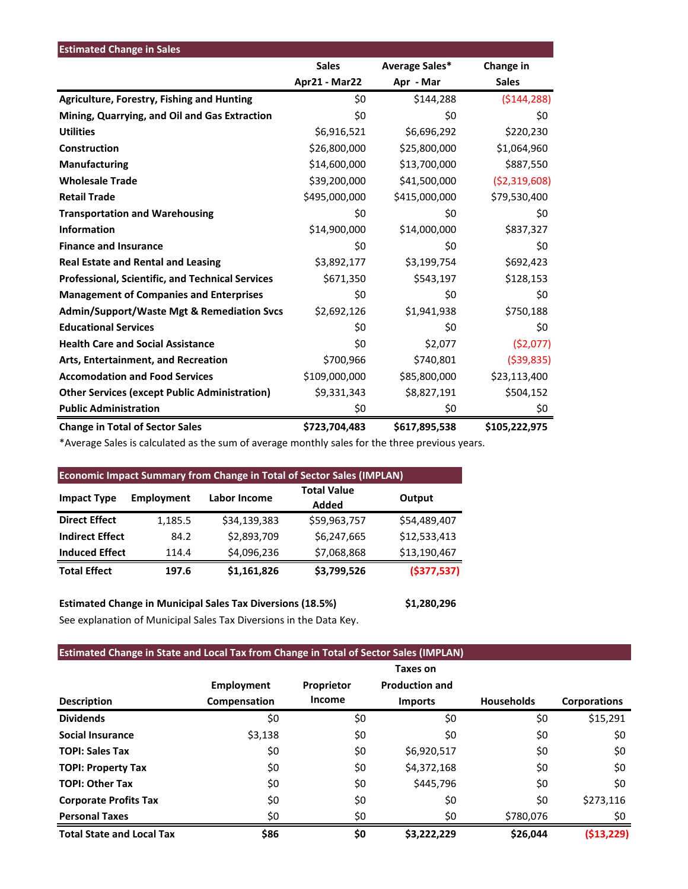| <b>Estimated Change in Sales</b>                        |               |                |                |
|---------------------------------------------------------|---------------|----------------|----------------|
|                                                         | <b>Sales</b>  | Average Sales* | Change in      |
|                                                         | Apr21 - Mar22 | Apr - Mar      | <b>Sales</b>   |
| Agriculture, Forestry, Fishing and Hunting              | \$0           | \$144,288      | (5144, 288)    |
| Mining, Quarrying, and Oil and Gas Extraction           | \$0           | \$0            | \$0            |
| <b>Utilities</b>                                        | \$6,916,521   | \$6,696,292    | \$220,230      |
| Construction                                            | \$26,800,000  | \$25,800,000   | \$1,064,960    |
| Manufacturing                                           | \$14,600,000  | \$13,700,000   | \$887,550      |
| <b>Wholesale Trade</b>                                  | \$39,200,000  | \$41,500,000   | ( \$2,319,608) |
| <b>Retail Trade</b>                                     | \$495,000,000 | \$415,000,000  | \$79,530,400   |
| <b>Transportation and Warehousing</b>                   | \$0           | \$0            | \$0            |
| <b>Information</b>                                      | \$14,900,000  | \$14,000,000   | \$837,327      |
| <b>Finance and Insurance</b>                            | \$0           | \$0            | \$0            |
| <b>Real Estate and Rental and Leasing</b>               | \$3,892,177   | \$3,199,754    | \$692,423      |
| <b>Professional, Scientific, and Technical Services</b> | \$671,350     | \$543,197      | \$128,153      |
| <b>Management of Companies and Enterprises</b>          | \$0           | \$0            | \$0            |
| <b>Admin/Support/Waste Mgt &amp; Remediation Svcs</b>   | \$2,692,126   | \$1,941,938    | \$750,188      |
| <b>Educational Services</b>                             | \$0           | \$0            | \$0            |
| <b>Health Care and Social Assistance</b>                | \$0           | \$2,077        | (52,077)       |
| Arts, Entertainment, and Recreation                     | \$700,966     | \$740,801      | ( \$39, 835)   |
| <b>Accomodation and Food Services</b>                   | \$109,000,000 | \$85,800,000   | \$23,113,400   |
| <b>Other Services (except Public Administration)</b>    | \$9,331,343   | \$8,827,191    | \$504,152      |
| <b>Public Administration</b>                            | \$0           | \$0            | \$0            |
| <b>Change in Total of Sector Sales</b>                  | \$723,704,483 | \$617,895,538  | \$105,222,975  |

\*Average Sales is calculated as the sum of average monthly sales for the three previous years.

| <b>Economic Impact Summary from Change in Total of Sector Sales (IMPLAN)</b> |                   |              |                             |               |  |  |  |
|------------------------------------------------------------------------------|-------------------|--------------|-----------------------------|---------------|--|--|--|
| <b>Impact Type</b>                                                           | <b>Employment</b> | Labor Income | <b>Total Value</b><br>Added | Output        |  |  |  |
| <b>Direct Effect</b>                                                         | 1,185.5           | \$34,139,383 | \$59,963,757                | \$54,489,407  |  |  |  |
| <b>Indirect Effect</b>                                                       | 84.2              | \$2,893,709  | \$6,247,665                 | \$12,533,413  |  |  |  |
| <b>Induced Effect</b>                                                        | 114.4             | \$4,096,236  | \$7,068,868                 | \$13,190,467  |  |  |  |
| <b>Total Effect</b>                                                          | 197.6             | \$1,161,826  | \$3,799,526                 | ( \$377, 537) |  |  |  |

**Estimated Change in Municipal Sales Tax Diversions (18.5%) \$1,280,296** See explanation of Municipal Sales Tax Diversions in the Data Key.

# **Estimated Change in State and Local Tax from Change in Total of Sector Sales (IMPLAN)**

|                                  |                   |            | Taxes on              |                   |                     |
|----------------------------------|-------------------|------------|-----------------------|-------------------|---------------------|
|                                  | <b>Employment</b> | Proprietor | <b>Production and</b> |                   |                     |
| <b>Description</b>               | Compensation      | Income     | <b>Imports</b>        | <b>Households</b> | <b>Corporations</b> |
| <b>Dividends</b>                 | \$0               | \$0        | \$0                   | \$0               | \$15,291            |
| <b>Social Insurance</b>          | \$3,138           | \$0        | \$0                   | \$0               | \$0                 |
| <b>TOPI: Sales Tax</b>           | \$0               | \$0        | \$6,920,517           | \$0               | \$0                 |
| <b>TOPI: Property Tax</b>        | \$0               | \$0        | \$4,372,168           | \$0               | \$0                 |
| <b>TOPI: Other Tax</b>           | \$0               | \$0        | \$445,796             | \$0               | \$0                 |
| <b>Corporate Profits Tax</b>     | \$0               | \$0        | \$0                   | \$0               | \$273,116           |
| <b>Personal Taxes</b>            | \$0               | \$0        | \$0                   | \$780,076         | \$0                 |
| <b>Total State and Local Tax</b> | \$86              | \$0        | \$3,222,229           | \$26,044          | ( \$13, 229)        |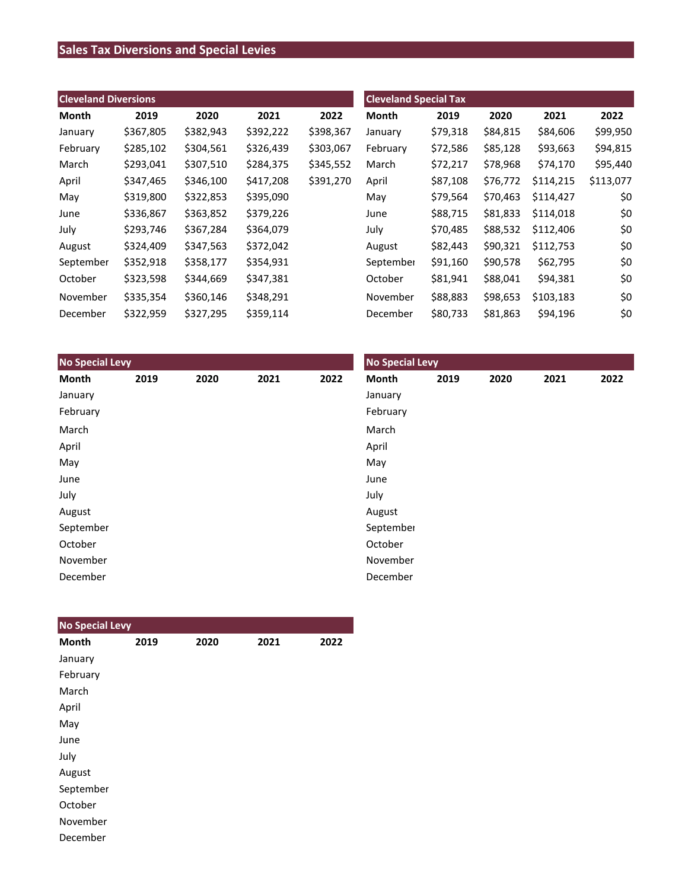# **Sales Tax Diversions and Special Levies**

| <b>Cleveland Diversions</b> |           |           |           |           | <b>Cleveland Special Tax</b> |          |          |           |           |
|-----------------------------|-----------|-----------|-----------|-----------|------------------------------|----------|----------|-----------|-----------|
| Month                       | 2019      | 2020      | 2021      | 2022      | <b>Month</b>                 | 2019     | 2020     | 2021      | 2022      |
| January                     | \$367,805 | \$382,943 | \$392,222 | \$398,367 | January                      | \$79,318 | \$84,815 | \$84,606  | \$99,950  |
| February                    | \$285,102 | \$304,561 | \$326,439 | \$303,067 | February                     | \$72,586 | \$85,128 | \$93,663  | \$94,815  |
| March                       | \$293,041 | \$307,510 | \$284,375 | \$345,552 | March                        | \$72,217 | \$78,968 | \$74,170  | \$95,440  |
| April                       | \$347,465 | \$346,100 | \$417,208 | \$391,270 | April                        | \$87,108 | \$76,772 | \$114,215 | \$113,077 |
| May                         | \$319,800 | \$322,853 | \$395,090 |           | May                          | \$79,564 | \$70,463 | \$114,427 | \$0       |
| June                        | \$336,867 | \$363,852 | \$379,226 |           | June                         | \$88,715 | \$81,833 | \$114,018 | \$0       |
| July                        | \$293,746 | \$367,284 | \$364,079 |           | July                         | \$70,485 | \$88,532 | \$112,406 | \$0       |
| August                      | \$324,409 | \$347,563 | \$372,042 |           | August                       | \$82,443 | \$90,321 | \$112,753 | \$0       |
| September                   | \$352,918 | \$358,177 | \$354,931 |           | September                    | \$91,160 | \$90,578 | \$62,795  | \$0       |
| October                     | \$323,598 | \$344,669 | \$347,381 |           | October                      | \$81,941 | \$88,041 | \$94,381  | \$0       |
| November                    | \$335,354 | \$360,146 | \$348,291 |           | November                     | \$88,883 | \$98,653 | \$103,183 | \$0       |
| December                    | \$322,959 | \$327,295 | \$359,114 |           | December                     | \$80,733 | \$81,863 | \$94,196  | \$0       |

| <b>No Special Levy</b> |      |      |      |      | <b>No Special Levy</b> |      |      |      |      |  |
|------------------------|------|------|------|------|------------------------|------|------|------|------|--|
| Month                  | 2019 | 2020 | 2021 | 2022 | Month                  | 2019 | 2020 | 2021 | 2022 |  |
| January                |      |      |      |      | January                |      |      |      |      |  |
| February               |      |      |      |      | February               |      |      |      |      |  |
| March                  |      |      |      |      | March                  |      |      |      |      |  |
| April                  |      |      |      |      | April                  |      |      |      |      |  |
| May                    |      |      |      |      | May                    |      |      |      |      |  |
| June                   |      |      |      |      | June                   |      |      |      |      |  |
| July                   |      |      |      |      | July                   |      |      |      |      |  |
| August                 |      |      |      |      | August                 |      |      |      |      |  |
| September              |      |      |      |      | September              |      |      |      |      |  |
| October                |      |      |      |      | October                |      |      |      |      |  |
| November               |      |      |      |      | November               |      |      |      |      |  |
| December               |      |      |      |      | December               |      |      |      |      |  |

| <b>No Special Levy</b> |      |      |      |      |
|------------------------|------|------|------|------|
| <b>Month</b>           | 2019 | 2020 | 2021 | 2022 |
| January                |      |      |      |      |
| February               |      |      |      |      |
| March                  |      |      |      |      |
| April                  |      |      |      |      |
| May                    |      |      |      |      |
| June                   |      |      |      |      |
| July                   |      |      |      |      |
| August                 |      |      |      |      |
| September              |      |      |      |      |
| October                |      |      |      |      |
| November               |      |      |      |      |
| December               |      |      |      |      |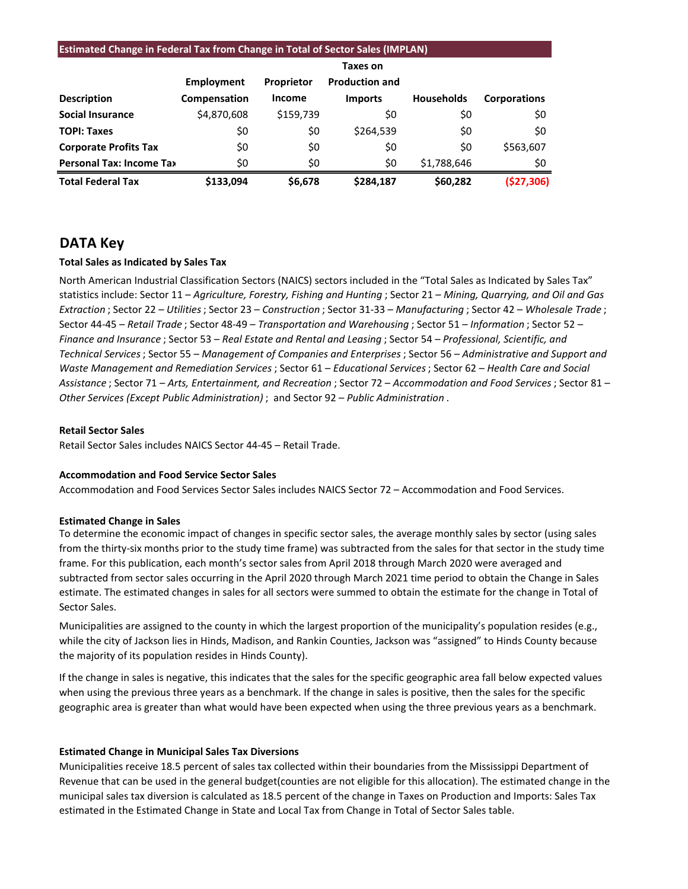#### **Estimated Change in Federal Tax from Change in Total of Sector Sales (IMPLAN)**

|                                 | Employment   | Proprietor    | <b>Production and</b> |                   |                     |
|---------------------------------|--------------|---------------|-----------------------|-------------------|---------------------|
| <b>Description</b>              | Compensation | <b>Income</b> | <b>Imports</b>        | <b>Households</b> | <b>Corporations</b> |
| <b>Social Insurance</b>         | \$4,870,608  | \$159,739     | \$0                   | \$0               | \$0                 |
| <b>TOPI: Taxes</b>              | \$0          | \$0           | \$264,539             | \$0               | \$0                 |
| <b>Corporate Profits Tax</b>    | \$0          | \$0           | \$0                   | \$0               | \$563,607           |
| <b>Personal Tax: Income Tax</b> | \$0          | \$0           | \$0                   | \$1,788,646       | \$0                 |
| <b>Total Federal Tax</b>        | \$133.094    | \$6,678       | \$284,187             | \$60,282          | (\$27,306)          |

### **DATA Key**

#### **Total Sales as Indicated by Sales Tax**

North American Industrial Classification Sectors (NAICS) sectors included in the "Total Sales as Indicated by Sales Tax" statistics include: Sector 11 – *Agriculture, Forestry, Fishing and Hunting* ; Sector 21 – *Mining, Quarrying, and Oil and Gas Extraction* ; Sector 22 – *Utilities*; Sector 23 – *Construction* ; Sector 31-33 – *Manufacturing* ; Sector 42 – *Wholesale Trade* ; Sector 44-45 – *Retail Trade* ; Sector 48-49 – *Transportation and Warehousing* ; Sector 51 – *Information* ; Sector 52 – *Finance and Insurance* ; Sector 53 – *Real Estate and Rental and Leasing* ; Sector 54 – *Professional, Scientific, and Technical Services*; Sector 55 – *Management of Companies and Enterprises* ; Sector 56 – *Administrative and Support and Waste Management and Remediation Services* ; Sector 61 – *Educational Services*; Sector 62 – *Health Care and Social Assistance* ; Sector 71 – *Arts, Entertainment, and Recreation* ; Sector 72 – *Accommodation and Food Services* ; Sector 81 – *Other Services (Except Public Administration)* ; and Sector 92 – *Public Administration* .

#### **Retail Sector Sales**

Retail Sector Sales includes NAICS Sector 44-45 – Retail Trade.

#### **Accommodation and Food Service Sector Sales**

Accommodation and Food Services Sector Sales includes NAICS Sector 72 – Accommodation and Food Services.

#### **Estimated Change in Sales**

To determine the economic impact of changes in specific sector sales, the average monthly sales by sector (using sales from the thirty-six months prior to the study time frame) was subtracted from the sales for that sector in the study time frame. For this publication, each month's sector sales from April 2018 through March 2020 were averaged and subtracted from sector sales occurring in the April 2020 through March 2021 time period to obtain the Change in Sales estimate. The estimated changes in sales for all sectors were summed to obtain the estimate for the change in Total of Sector Sales.

Municipalities are assigned to the county in which the largest proportion of the municipality's population resides (e.g., while the city of Jackson lies in Hinds, Madison, and Rankin Counties, Jackson was "assigned" to Hinds County because the majority of its population resides in Hinds County).

If the change in sales is negative, this indicates that the sales for the specific geographic area fall below expected values when using the previous three years as a benchmark. If the change in sales is positive, then the sales for the specific geographic area is greater than what would have been expected when using the three previous years as a benchmark.

#### **Estimated Change in Municipal Sales Tax Diversions**

Municipalities receive 18.5 percent of sales tax collected within their boundaries from the Mississippi Department of Revenue that can be used in the general budget(counties are not eligible for this allocation). The estimated change in the municipal sales tax diversion is calculated as 18.5 percent of the change in Taxes on Production and Imports: Sales Tax estimated in the Estimated Change in State and Local Tax from Change in Total of Sector Sales table.